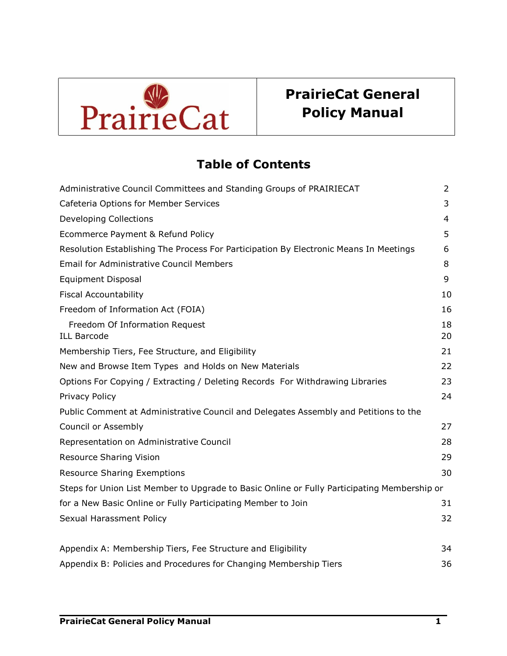

# **PrairieCat General Policy Manual**

# **Table of Contents**

| Administrative Council Committees and Standing Groups of PRAIRIECAT                         | 2              |
|---------------------------------------------------------------------------------------------|----------------|
| Cafeteria Options for Member Services                                                       | 3              |
| <b>Developing Collections</b>                                                               | $\overline{4}$ |
| Ecommerce Payment & Refund Policy                                                           | 5              |
| Resolution Establishing The Process For Participation By Electronic Means In Meetings       | 6              |
| <b>Email for Administrative Council Members</b>                                             | 8              |
| <b>Equipment Disposal</b>                                                                   | 9              |
| <b>Fiscal Accountability</b>                                                                | 10             |
| Freedom of Information Act (FOIA)                                                           | 16             |
| Freedom Of Information Request<br><b>ILL Barcode</b>                                        | 18<br>20       |
| Membership Tiers, Fee Structure, and Eligibility                                            | 21             |
| New and Browse Item Types and Holds on New Materials                                        | 22             |
| Options For Copying / Extracting / Deleting Records For Withdrawing Libraries               | 23             |
| Privacy Policy                                                                              | 24             |
| Public Comment at Administrative Council and Delegates Assembly and Petitions to the        |                |
| Council or Assembly                                                                         | 27             |
| Representation on Administrative Council                                                    | 28             |
| <b>Resource Sharing Vision</b>                                                              | 29             |
| <b>Resource Sharing Exemptions</b>                                                          | 30             |
| Steps for Union List Member to Upgrade to Basic Online or Fully Participating Membership or |                |
| for a New Basic Online or Fully Participating Member to Join                                | 31             |
| Sexual Harassment Policy                                                                    | 32             |
| Appendix A: Membership Tiers, Fee Structure and Eligibility                                 | 34             |
| Appendix B: Policies and Procedures for Changing Membership Tiers                           | 36             |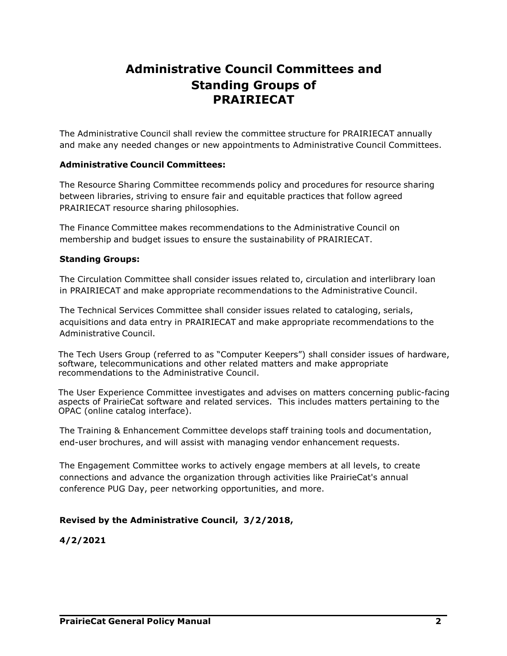## **Administrative Council Committees and Standing Groups of PRAIRIECAT**

The Administrative Council shall review the committee structure for PRAIRIECAT annually and make any needed changes or new appointments to Administrative Council Committees.

#### **Administrative Council Committees:**

The Resource Sharing Committee recommends policy and procedures for resource sharing between libraries, striving to ensure fair and equitable practices that follow agreed PRAIRIECAT resource sharing philosophies.

The Finance Committee makes recommendations to the Administrative Council on membership and budget issues to ensure the sustainability of PRAIRIECAT.

#### **Standing Groups:**

The Circulation Committee shall consider issues related to, circulation and interlibrary loan in PRAIRIECAT and make appropriate recommendations to the Administrative Council.

The Technical Services Committee shall consider issues related to cataloging, serials, acquisitions and data entry in PRAIRIECAT and make appropriate recommendations to the Administrative Council.

The Tech Users Group (referred to as "Computer Keepers") shall consider issues of hardware, software, telecommunications and other related matters and make appropriate recommendations to the Administrative Council.

The User Experience Committee investigates and advises on matters concerning public-facing aspects of PrairieCat software and related services. This includes matters pertaining to the OPAC (online catalog interface).

The Training & Enhancement Committee develops staff training tools and documentation, end-user brochures, and will assist with managing vendor enhancement requests.

The Engagement Committee works to actively engage members at all levels, to create connections and advance the organization through activities like PrairieCat's annual conference PUG Day, peer networking opportunities, and more.

#### **Revised by the Administrative Council, 3/2/2018,**

**4/2/2021**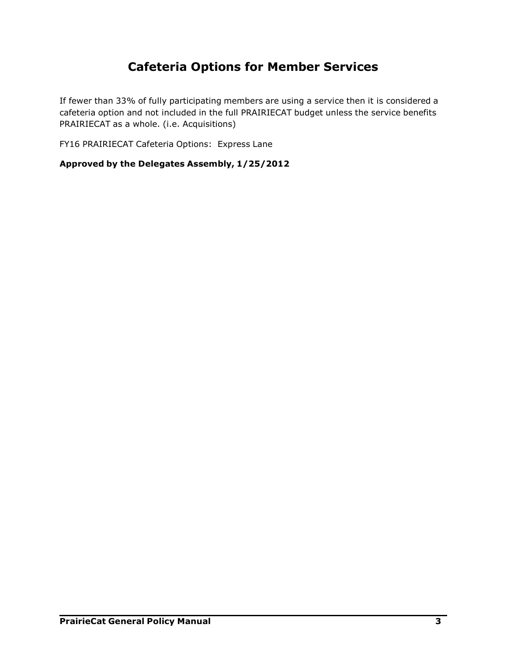## **Cafeteria Options for Member Services**

If fewer than 33% of fully participating members are using a service then it is considered a cafeteria option and not included in the full PRAIRIECAT budget unless the service benefits PRAIRIECAT as a whole. (i.e. Acquisitions)

FY16 PRAIRIECAT Cafeteria Options: Express Lane

### **Approved by the Delegates Assembly, 1/25/2012**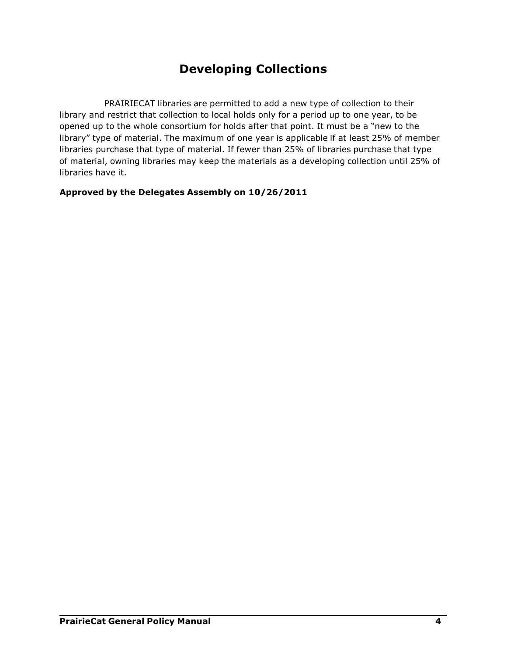## **Developing Collections**

PRAIRIECAT libraries are permitted to add a new type of collection to their library and restrict that collection to local holds only for a period up to one year, to be opened up to the whole consortium for holds after that point. It must be a "new to the library" type of material. The maximum of one year is applicable if at least 25% of member libraries purchase that type of material. If fewer than 25% of libraries purchase that type of material, owning libraries may keep the materials as a developing collection until 25% of libraries have it.

**Approved by the Delegates Assembly on 10/26/2011**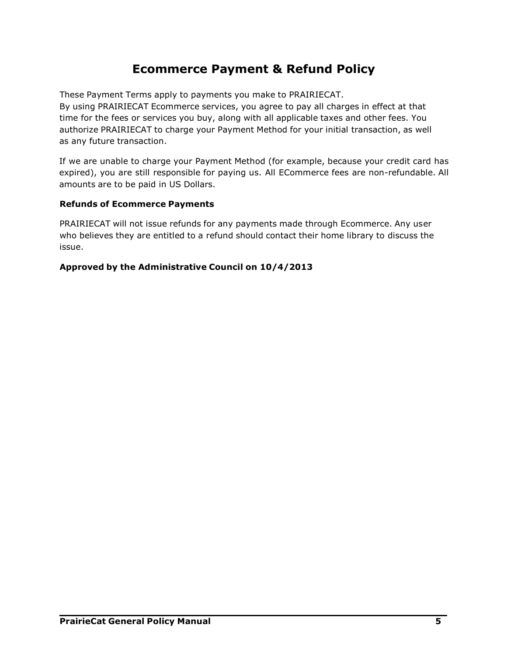## **Ecommerce Payment & Refund Policy**

These Payment Terms apply to payments you make to PRAIRIECAT.

By using PRAIRIECAT Ecommerce services, you agree to pay all charges in effect at that time for the fees or services you buy, along with all applicable taxes and other fees. You authorize PRAIRIECAT to charge your Payment Method for your initial transaction, as well as any future transaction.

If we are unable to charge your Payment Method (for example, because your credit card has expired), you are still responsible for paying us. All ECommerce fees are non-refundable. All amounts are to be paid in US Dollars.

#### **Refunds of Ecommerce Payments**

PRAIRIECAT will not issue refunds for any payments made through Ecommerce. Any user who believes they are entitled to a refund should contact their home library to discuss the issue.

### **Approved by the Administrative Council on 10/4/2013**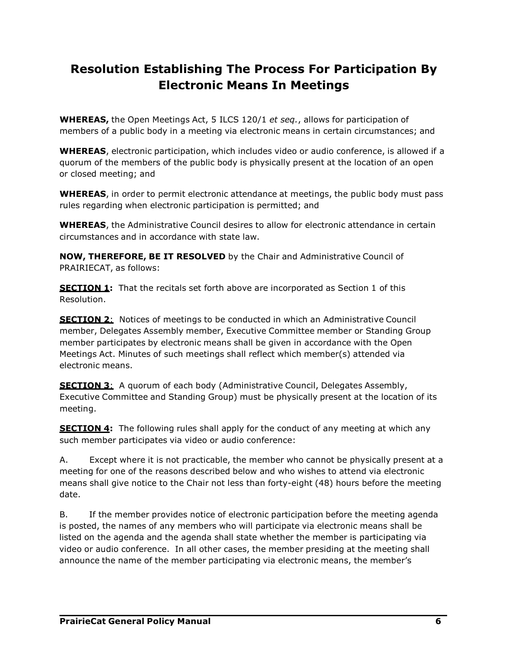# **Resolution Establishing The Process For Participation By Electronic Means In Meetings**

**WHEREAS,** the Open Meetings Act, 5 ILCS 120/1 *et seq.*, allows for participation of members of a public body in a meeting via electronic means in certain circumstances; and

**WHEREAS**, electronic participation, which includes video or audio conference, is allowed if a quorum of the members of the public body is physically present at the location of an open or closed meeting; and

**WHEREAS**, in order to permit electronic attendance at meetings, the public body must pass rules regarding when electronic participation is permitted; and

**WHEREAS**, the Administrative Council desires to allow for electronic attendance in certain circumstances and in accordance with state law.

**NOW, THEREFORE, BE IT RESOLVED** by the Chair and Administrative Council of PRAIRIECAT, as follows:

**SECTION 1:** That the recitals set forth above are incorporated as Section 1 of this Resolution.

**SECTION 2:** Notices of meetings to be conducted in which an Administrative Council member, Delegates Assembly member, Executive Committee member or Standing Group member participates by electronic means shall be given in accordance with the Open Meetings Act. Minutes of such meetings shall reflect which member(s) attended via electronic means.

**SECTION 3:** A quorum of each body (Administrative Council, Delegates Assembly, Executive Committee and Standing Group) must be physically present at the location of its meeting.

**SECTION 4:** The following rules shall apply for the conduct of any meeting at which any such member participates via video or audio conference:

A. Except where it is not practicable, the member who cannot be physically present at a meeting for one of the reasons described below and who wishes to attend via electronic means shall give notice to the Chair not less than forty-eight (48) hours before the meeting date.

B. If the member provides notice of electronic participation before the meeting agenda is posted, the names of any members who will participate via electronic means shall be listed on the agenda and the agenda shall state whether the member is participating via video or audio conference. In all other cases, the member presiding at the meeting shall announce the name of the member participating via electronic means, the member's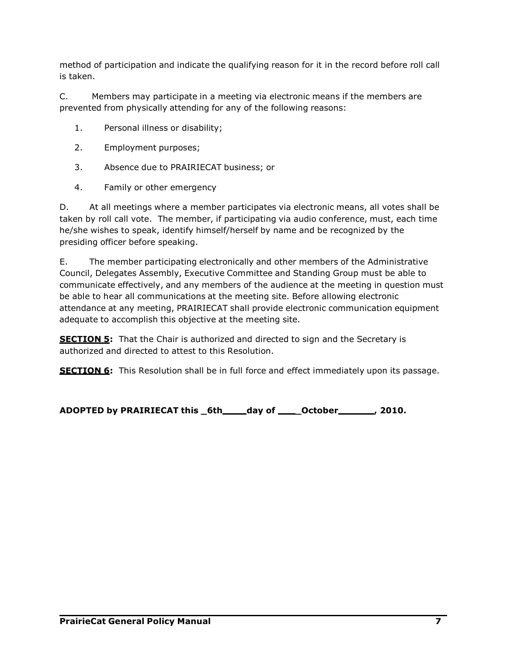method of participation and indicate the qualifying reason for it in the record before roll call is taken.

C. Members may participate in a meeting via electronic means if the members are prevented from physically attending for any of the following reasons:

- 1. Personal illness or disability;
- 2. Employment purposes;
- 3. Absence due to PRAIRIECAT business; or
- 4. Family or other emergency

D. At all meetings where a member participates via electronic means, all votes shall be taken by roll call vote. The member, if participating via audio conference, must, each time he/she wishes to speak, identify himself/herself by name and be recognized by the presiding officer before speaking.

E. The member participating electronically and other members of the Administrative Council, Delegates Assembly, Executive Committee and Standing Group must be able to communicate effectively, and any members of the audience at the meeting in question must be able to hear all communications at the meeting site. Before allowing electronic attendance at any meeting, PRAIRIECAT shall provide electronic communication equipment adequate to accomplish this objective at the meeting site.

**SECTION 5:** That the Chair is authorized and directed to sign and the Secretary is authorized and directed to attest to this Resolution.

**SECTION 6:** This Resolution shall be in full force and effect immediately upon its passage.

ADOPTED by PRAIRIECAT this \_6th\_**\_\_\_\_day of \_\_\_\_\_October\_\_\_\_\_\_\_\_**, 2010.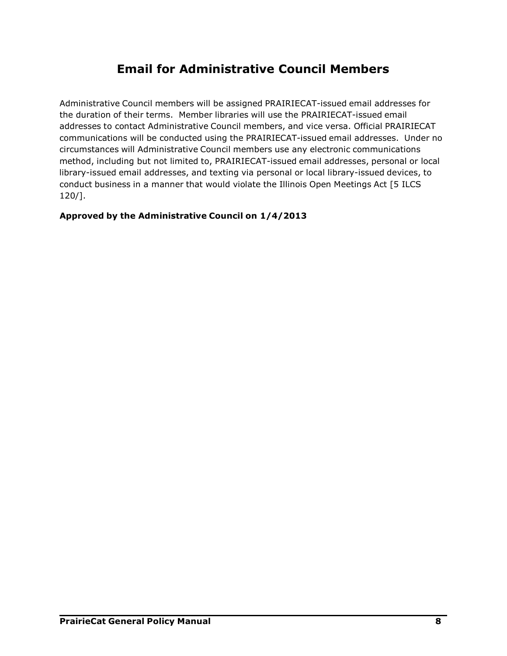## **Email for Administrative Council Members**

Administrative Council members will be assigned PRAIRIECAT-issued email addresses for the duration of their terms. Member libraries will use the PRAIRIECAT-issued email addresses to contact Administrative Council members, and vice versa. Official PRAIRIECAT communications will be conducted using the PRAIRIECAT-issued email addresses. Under no circumstances will Administrative Council members use any electronic communications method, including but not limited to, PRAIRIECAT-issued email addresses, personal or local library-issued email addresses, and texting via personal or local library-issued devices, to conduct business in a manner that would violate the Illinois Open Meetings Act [5 ILCS 120/].

### **Approved by the Administrative Council on 1/4/2013**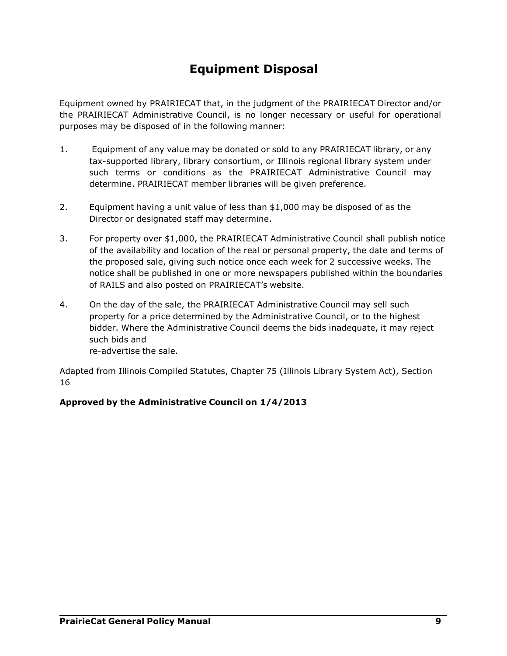# **Equipment Disposal**

Equipment owned by PRAIRIECAT that, in the judgment of the PRAIRIECAT Director and/or the PRAIRIECAT Administrative Council, is no longer necessary or useful for operational purposes may be disposed of in the following manner:

- 1. Equipment of any value may be donated or sold to any PRAIRIECAT library, or any tax-supported library, library consortium, or Illinois regional library system under such terms or conditions as the PRAIRIECAT Administrative Council may determine. PRAIRIECAT member libraries will be given preference.
- 2. Equipment having a unit value of less than \$1,000 may be disposed of as the Director or designated staff may determine.
- 3. For property over \$1,000, the PRAIRIECAT Administrative Council shall publish notice of the availability and location of the real or personal property, the date and terms of the proposed sale, giving such notice once each week for 2 successive weeks. The notice shall be published in one or more newspapers published within the boundaries of RAILS and also posted on PRAIRIECAT's website.
- 4. On the day of the sale, the PRAIRIECAT Administrative Council may sell such property for a price determined by the Administrative Council, or to the highest bidder. Where the Administrative Council deems the bids inadequate, it may reject such bids and re-advertise the sale.

Adapted from Illinois Compiled Statutes, Chapter 75 (Illinois Library System Act), Section 16

## **Approved by the Administrative Council on 1/4/2013**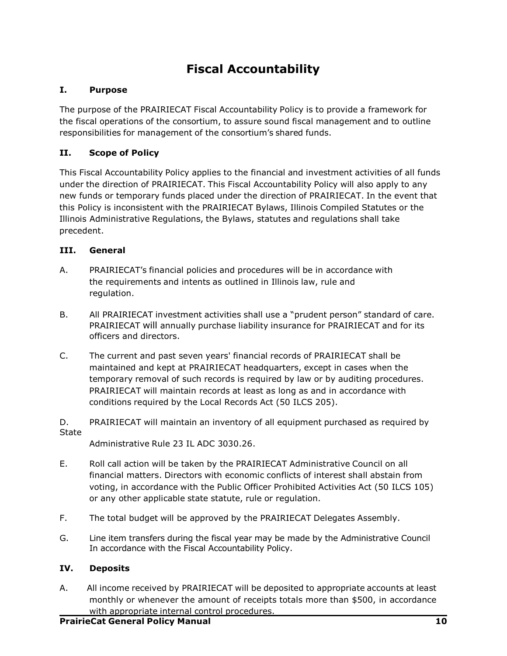# **Fiscal Accountability**

### **I. Purpose**

The purpose of the PRAIRIECAT Fiscal Accountability Policy is to provide a framework for the fiscal operations of the consortium, to assure sound fiscal management and to outline responsibilities for management of the consortium's shared funds.

## **II. Scope of Policy**

This Fiscal Accountability Policy applies to the financial and investment activities of all funds under the direction of PRAIRIECAT. This Fiscal Accountability Policy will also apply to any new funds or temporary funds placed under the direction of PRAIRIECAT. In the event that this Policy is inconsistent with the PRAIRIECAT Bylaws, Illinois Compiled Statutes or the Illinois Administrative Regulations, the Bylaws, statutes and regulations shall take precedent.

### **III. General**

- A. PRAIRIECAT's financial policies and procedures will be in accordance with the requirements and intents as outlined in Illinois law, rule and regulation.
- B. All PRAIRIECAT investment activities shall use a "prudent person" standard of care. PRAIRIECAT will annually purchase liability insurance for PRAIRIECAT and for its officers and directors.
- C. The current and past seven years' financial records of PRAIRIECAT shall be maintained and kept at PRAIRIECAT headquarters, except in cases when the temporary removal of such records is required by law or by auditing procedures. PRAIRIECAT will maintain records at least as long as and in accordance with conditions required by the Local Records Act (50 ILCS 205).
- D. PRAIRIECAT will maintain an inventory of all equipment purchased as required by **State**

Administrative Rule 23 IL ADC 3030.26.

- E. Roll call action will be taken by the PRAIRIECAT Administrative Council on all financial matters. Directors with economic conflicts of interest shall abstain from voting, in accordance with the Public Officer Prohibited Activities Act (50 ILCS 105) or any other applicable state statute, rule or regulation.
- F. The total budget will be approved by the PRAIRIECAT Delegates Assembly.
- G. Line item transfers during the fiscal year may be made by the Administrative Council In accordance with the Fiscal Accountability Policy.

## **IV. Deposits**

A. All income received by PRAIRIECAT will be deposited to appropriate accounts at least monthly or whenever the amount of receipts totals more than \$500, in accordance with appropriate internal control procedures.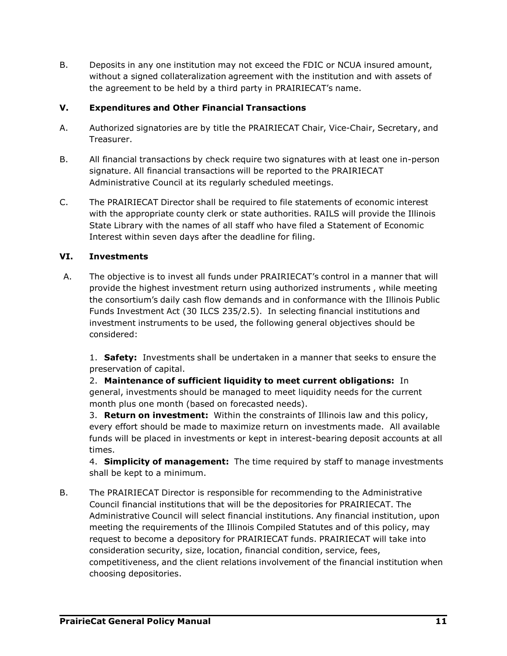B. Deposits in any one institution may not exceed the FDIC or NCUA insured amount, without a signed collateralization agreement with the institution and with assets of the agreement to be held by a third party in PRAIRIECAT's name.

### **V. Expenditures and Other Financial Transactions**

- A. Authorized signatories are by title the PRAIRIECAT Chair, Vice-Chair, Secretary, and Treasurer.
- B. All financial transactions by check require two signatures with at least one in-person signature. All financial transactions will be reported to the PRAIRIECAT Administrative Council at its regularly scheduled meetings.
- C. The PRAIRIECAT Director shall be required to file statements of economic interest with the appropriate county clerk or state authorities. RAILS will provide the Illinois State Library with the names of all staff who have filed a Statement of Economic Interest within seven days after the deadline for filing.

### **VI. Investments**

A. The objective is to invest all funds under PRAIRIECAT's control in a manner that will provide the highest investment return using authorized instruments , while meeting the consortium's daily cash flow demands and in conformance with the Illinois Public Funds Investment Act (30 ILCS 235/2.5). In selecting financial institutions and investment instruments to be used, the following general objectives should be considered:

1. **Safety:** Investments shall be undertaken in a manner that seeks to ensure the preservation of capital.

2. **Maintenance of sufficient liquidity to meet current obligations:** In general, investments should be managed to meet liquidity needs for the current month plus one month (based on forecasted needs).

3. **Return on investment:** Within the constraints of Illinois law and this policy, every effort should be made to maximize return on investments made. All available funds will be placed in investments or kept in interest-bearing deposit accounts at all times.

4. **Simplicity of management:** The time required by staff to manage investments shall be kept to a minimum.

B. The PRAIRIECAT Director is responsible for recommending to the Administrative Council financial institutions that will be the depositories for PRAIRIECAT. The Administrative Council will select financial institutions. Any financial institution, upon meeting the requirements of the Illinois Compiled Statutes and of this policy, may request to become a depository for PRAIRIECAT funds. PRAIRIECAT will take into consideration security, size, location, financial condition, service, fees, competitiveness, and the client relations involvement of the financial institution when choosing depositories.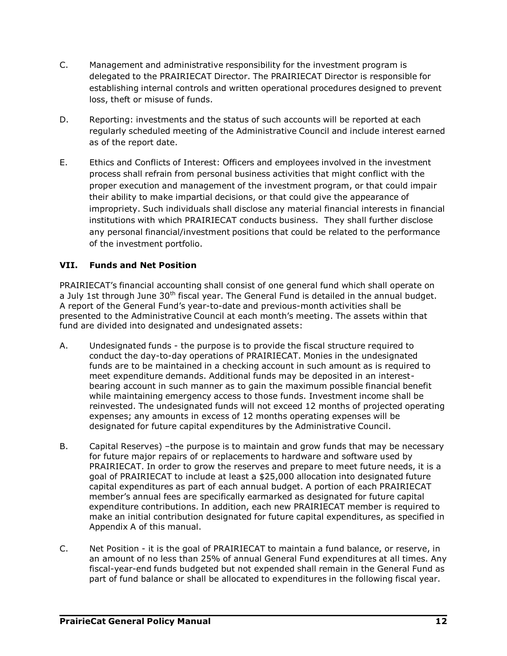- C. Management and administrative responsibility for the investment program is delegated to the PRAIRIECAT Director. The PRAIRIECAT Director is responsible for establishing internal controls and written operational procedures designed to prevent loss, theft or misuse of funds.
- D. Reporting: investments and the status of such accounts will be reported at each regularly scheduled meeting of the Administrative Council and include interest earned as of the report date.
- E. Ethics and Conflicts of Interest: Officers and employees involved in the investment process shall refrain from personal business activities that might conflict with the proper execution and management of the investment program, or that could impair their ability to make impartial decisions, or that could give the appearance of impropriety. Such individuals shall disclose any material financial interests in financial institutions with which PRAIRIECAT conducts business. They shall further disclose any personal financial/investment positions that could be related to the performance of the investment portfolio.

#### **VII. Funds and Net Position**

PRAIRIECAT's financial accounting shall consist of one general fund which shall operate on a July 1st through June  $30<sup>th</sup>$  fiscal year. The General Fund is detailed in the annual budget. A report of the General Fund's year-to-date and previous-month activities shall be presented to the Administrative Council at each month's meeting. The assets within that fund are divided into designated and undesignated assets:

- A. Undesignated funds the purpose is to provide the fiscal structure required to conduct the day-to-day operations of PRAIRIECAT. Monies in the undesignated funds are to be maintained in a checking account in such amount as is required to meet expenditure demands. Additional funds may be deposited in an interestbearing account in such manner as to gain the maximum possible financial benefit while maintaining emergency access to those funds. Investment income shall be reinvested. The undesignated funds will not exceed 12 months of projected operating expenses; any amounts in excess of 12 months operating expenses will be designated for future capital expenditures by the Administrative Council.
- B. Capital Reserves) –the purpose is to maintain and grow funds that may be necessary for future major repairs of or replacements to hardware and software used by PRAIRIECAT. In order to grow the reserves and prepare to meet future needs, it is a goal of PRAIRIECAT to include at least a \$25,000 allocation into designated future capital expenditures as part of each annual budget. A portion of each PRAIRIECAT member's annual fees are specifically earmarked as designated for future capital expenditure contributions. In addition, each new PRAIRIECAT member is required to make an initial contribution designated for future capital expenditures, as specified in Appendix A of this manual.
- C. Net Position it is the goal of PRAIRIECAT to maintain a fund balance, or reserve, in an amount of no less than 25% of annual General Fund expenditures at all times. Any fiscal-year-end funds budgeted but not expended shall remain in the General Fund as part of fund balance or shall be allocated to expenditures in the following fiscal year.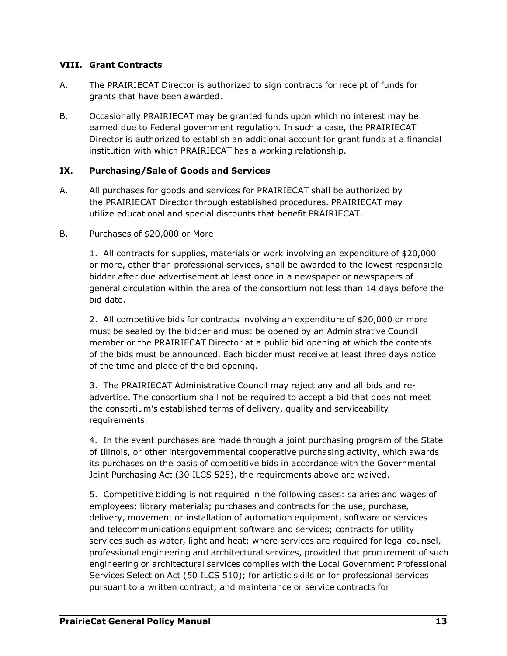#### **VIII. Grant Contracts**

- A. The PRAIRIECAT Director is authorized to sign contracts for receipt of funds for grants that have been awarded.
- B. Occasionally PRAIRIECAT may be granted funds upon which no interest may be earned due to Federal government regulation. In such a case, the PRAIRIECAT Director is authorized to establish an additional account for grant funds at a financial institution with which PRAIRIECAT has a working relationship.

#### **IX. Purchasing/Sale of Goods and Services**

A. All purchases for goods and services for PRAIRIECAT shall be authorized by the PRAIRIECAT Director through established procedures. PRAIRIECAT may utilize educational and special discounts that benefit PRAIRIECAT.

#### B. Purchases of \$20,000 or More

1. All contracts for supplies, materials or work involving an expenditure of \$20,000 or more, other than professional services, shall be awarded to the lowest responsible bidder after due advertisement at least once in a newspaper or newspapers of general circulation within the area of the consortium not less than 14 days before the bid date.

2. All competitive bids for contracts involving an expenditure of \$20,000 or more must be sealed by the bidder and must be opened by an Administrative Council member or the PRAIRIECAT Director at a public bid opening at which the contents of the bids must be announced. Each bidder must receive at least three days notice of the time and place of the bid opening.

3. The PRAIRIECAT Administrative Council may reject any and all bids and readvertise. The consortium shall not be required to accept a bid that does not meet the consortium's established terms of delivery, quality and serviceability requirements.

4. In the event purchases are made through a joint purchasing program of the State of Illinois, or other intergovernmental cooperative purchasing activity, which awards its purchases on the basis of competitive bids in accordance with the Governmental Joint Purchasing Act (30 ILCS 525), the requirements above are waived.

5. Competitive bidding is not required in the following cases: salaries and wages of employees; library materials; purchases and contracts for the use, purchase, delivery, movement or installation of automation equipment, software or services and telecommunications equipment software and services; contracts for utility services such as water, light and heat; where services are required for legal counsel, professional engineering and architectural services, provided that procurement of such engineering or architectural services complies with the Local Government Professional Services Selection Act (50 ILCS 510); for artistic skills or for professional services pursuant to a written contract; and maintenance or service contracts for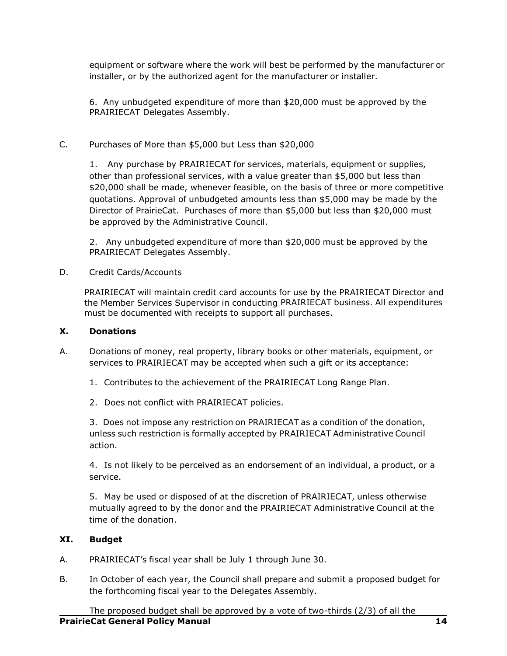equipment or software where the work will best be performed by the manufacturer or installer, or by the authorized agent for the manufacturer or installer.

6. Any unbudgeted expenditure of more than \$20,000 must be approved by the PRAIRIECAT Delegates Assembly.

### C. Purchases of More than \$5,000 but Less than \$20,000

1. Any purchase by PRAIRIECAT for services, materials, equipment or supplies, other than professional services, with a value greater than \$5,000 but less than \$20,000 shall be made, whenever feasible, on the basis of three or more competitive quotations. Approval of unbudgeted amounts less than \$5,000 may be made by the Director of PrairieCat. Purchases of more than \$5,000 but less than \$20,000 must be approved by the Administrative Council.

2. Any unbudgeted expenditure of more than \$20,000 must be approved by the PRAIRIECAT Delegates Assembly.

#### D. Credit Cards/Accounts

PRAIRIECAT will maintain credit card accounts for use by the PRAIRIECAT Director and the Member Services Supervisor in conducting PRAIRIECAT business. All expenditures must be documented with receipts to support all purchases.

#### **X. Donations**

- A. Donations of money, real property, library books or other materials, equipment, or services to PRAIRIECAT may be accepted when such a gift or its acceptance:
	- 1. Contributes to the achievement of the PRAIRIECAT Long Range Plan.
	- 2. Does not conflict with PRAIRIECAT policies.

3. Does not impose any restriction on PRAIRIECAT as a condition of the donation, unless such restriction is formally accepted by PRAIRIECAT Administrative Council action.

4. Is not likely to be perceived as an endorsement of an individual, a product, or a service.

5. May be used or disposed of at the discretion of PRAIRIECAT, unless otherwise mutually agreed to by the donor and the PRAIRIECAT Administrative Council at the time of the donation.

#### **XI. Budget**

- A. PRAIRIECAT's fiscal year shall be July 1 through June 30.
- B. In October of each year, the Council shall prepare and submit a proposed budget for the forthcoming fiscal year to the Delegates Assembly.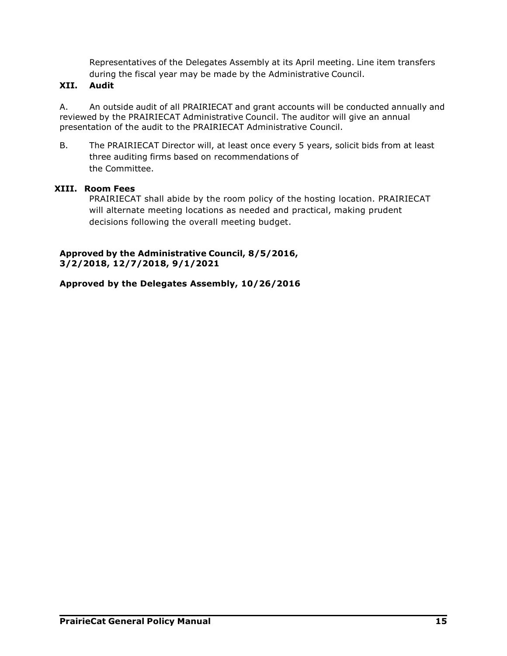Representatives of the Delegates Assembly at its April meeting. Line item transfers during the fiscal year may be made by the Administrative Council.

### **XII. Audit**

A. An outside audit of all PRAIRIECAT and grant accounts will be conducted annually and reviewed by the PRAIRIECAT Administrative Council. The auditor will give an annual presentation of the audit to the PRAIRIECAT Administrative Council.

B. The PRAIRIECAT Director will, at least once every 5 years, solicit bids from at least three auditing firms based on recommendations of the Committee.

#### **XIII. Room Fees**

PRAIRIECAT shall abide by the room policy of the hosting location. PRAIRIECAT will alternate meeting locations as needed and practical, making prudent decisions following the overall meeting budget.

#### **Approved by the Administrative Council, 8/5/2016, 3/2/2018, 12/7/2018, 9/1/2021**

#### **Approved by the Delegates Assembly, 10/26/2016**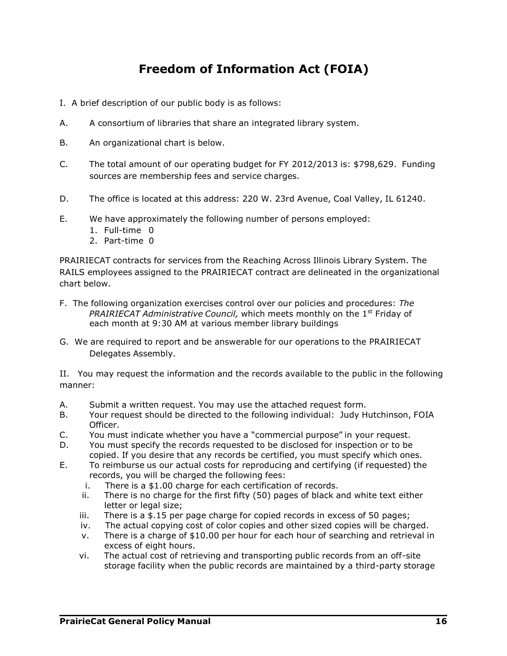# **Freedom of Information Act (FOIA)**

- I. A brief description of our public body is as follows:
- A. A consortium of libraries that share an integrated library system.
- B. An organizational chart is below.
- C. The total amount of our operating budget for FY 2012/2013 is: \$798,629. Funding sources are membership fees and service charges.
- D. The office is located at this address: 220 W. 23rd Avenue, Coal Valley, IL 61240.
- E. We have approximately the following number of persons employed:
	- 1. Full-time 0
	- 2. Part-time 0

PRAIRIECAT contracts for services from the Reaching Across Illinois Library System. The RAILS employees assigned to the PRAIRIECAT contract are delineated in the organizational chart below.

- F. The following organization exercises control over our policies and procedures: *The PRAIRIECAT Administrative Council,* which meets monthly on the 1<sup>st</sup> Friday of each month at 9:30 AM at various member library buildings
- G. We are required to report and be answerable for our operations to the PRAIRIECAT Delegates Assembly.

II. You may request the information and the records available to the public in the following manner:

- A. Submit a written request. You may use the attached request form.
- B. Your request should be directed to the following individual: Judy Hutchinson, FOIA Officer.
- C. You must indicate whether you have a "commercial purpose" in your request.
- D. You must specify the records requested to be disclosed for inspection or to be copied. If you desire that any records be certified, you must specify which ones.
- E. To reimburse us our actual costs for reproducing and certifying (if requested) the records, you will be charged the following fees:
	- i. There is a \$1.00 charge for each certification of records.
	- ii. There is no charge for the first fifty (50) pages of black and white text either letter or legal size;
	- iii. There is a \$.15 per page charge for copied records in excess of 50 pages;
	- iv. The actual copying cost of color copies and other sized copies will be charged.
	- v. There is a charge of \$10.00 per hour for each hour of searching and retrieval in excess of eight hours.
	- vi. The actual cost of retrieving and transporting public records from an off-site storage facility when the public records are maintained by a third-party storage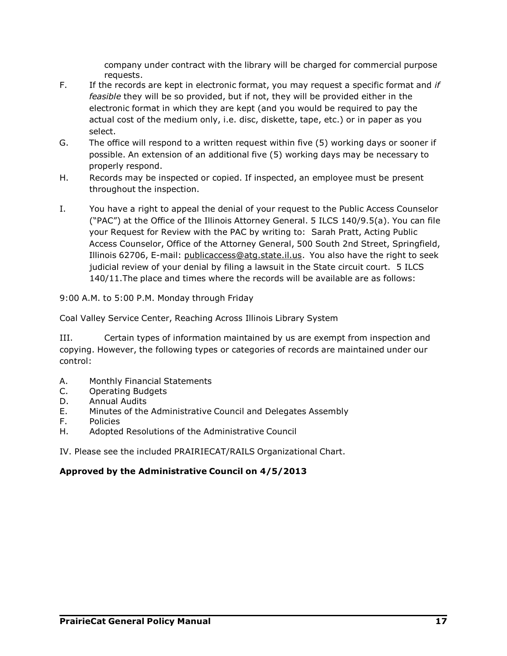company under contract with the library will be charged for commercial purpose requests.

- F. If the records are kept in electronic format, you may request a specific format and *if feasible* they will be so provided, but if not, they will be provided either in the electronic format in which they are kept (and you would be required to pay the actual cost of the medium only, i.e. disc, diskette, tape, etc.) or in paper as you select.
- G. The office will respond to a written request within five (5) working days or sooner if possible. An extension of an additional five (5) working days may be necessary to properly respond.
- H. Records may be inspected or copied. If inspected, an employee must be present throughout the inspection.
- I. You have a right to appeal the denial of your request to the Public Access Counselor ("PAC") at the Office of the Illinois Attorney General. 5 ILCS 140/9.5(a). You can file your Request for Review with the PAC by writing to: Sarah Pratt, Acting Public Access Counselor, Office of the Attorney General, 500 South 2nd Street, Springfield, Illinois 62706, E-mail: [publicaccess@atg.state.il.us.](mailto:publicaccess@atg.state.il.us) You also have the right to seek judicial review of your denial by filing a lawsuit in the State circuit court. 5 ILCS 140/11.The place and times where the records will be available are as follows:

9:00 A.M. to 5:00 P.M. Monday through Friday

Coal Valley Service Center, Reaching Across Illinois Library System

III. Certain types of information maintained by us are exempt from inspection and copying. However, the following types or categories of records are maintained under our control:

- A. Monthly Financial Statements
- C. Operating Budgets
- D. Annual Audits
- E. Minutes of the Administrative Council and Delegates Assembly
- F. Policies
- H. Adopted Resolutions of the Administrative Council

IV. Please see the included PRAIRIECAT/RAILS Organizational Chart.

## **Approved by the Administrative Council on 4/5/2013**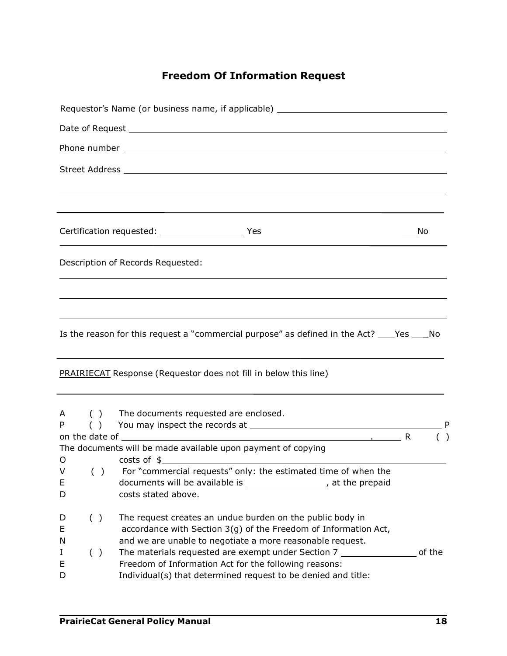## **Freedom Of Information Request**

| Requestor's Name (or business name, if applicable) _____________________________                                                  |    |
|-----------------------------------------------------------------------------------------------------------------------------------|----|
|                                                                                                                                   |    |
|                                                                                                                                   |    |
|                                                                                                                                   |    |
|                                                                                                                                   |    |
|                                                                                                                                   |    |
|                                                                                                                                   | No |
| Description of Records Requested:                                                                                                 |    |
|                                                                                                                                   |    |
| Is the reason for this request a "commercial purpose" as defined in the Act? ___ Yes ___ No                                       |    |
| <b>PRAIRIECAT</b> Response (Requestor does not fill in below this line)                                                           |    |
| A () The documents requested are enclosed.<br>P.                                                                                  |    |
|                                                                                                                                   |    |
| The documents will be made available upon payment of copying<br>O.                                                                |    |
| $costs$ of $\frac{1}{s}$<br>V () For "commercial requests" only: the estimated time of when the                                   |    |
| documents will be available is ___________________, at the prepaid<br>E<br>costs stated above.                                    |    |
| D                                                                                                                                 |    |
| ( )<br>The request creates an undue burden on the public body in<br>D<br>E                                                        |    |
| accordance with Section 3(g) of the Freedom of Information Act,<br>and we are unable to negotiate a more reasonable request.<br>N |    |
| The materials requested are exempt under Section 7<br>I<br>( )                                                                    |    |
| Freedom of Information Act for the following reasons:<br>Е<br>Individual(s) that determined request to be denied and title:<br>D  |    |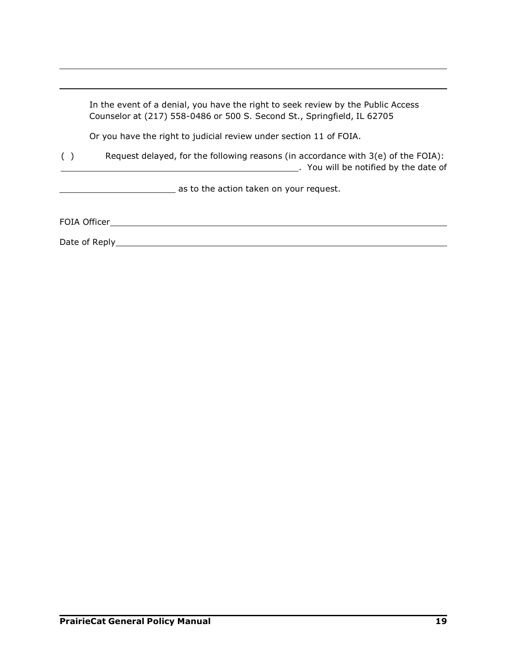| In the event of a denial, you have the right to seek review by the Public Access |
|----------------------------------------------------------------------------------|
| Counselor at (217) 558-0486 or 500 S. Second St., Springfield, IL 62705          |

Or you have the right to judicial review under section 11 of FOIA.

| Request delayed, for the following reasons (in accordance with $3(e)$ of the FOIA): |
|-------------------------------------------------------------------------------------|
| . You will be notified by the date of                                               |

**as to the action taken on your request.** 

FOIA Officer

Date of Reply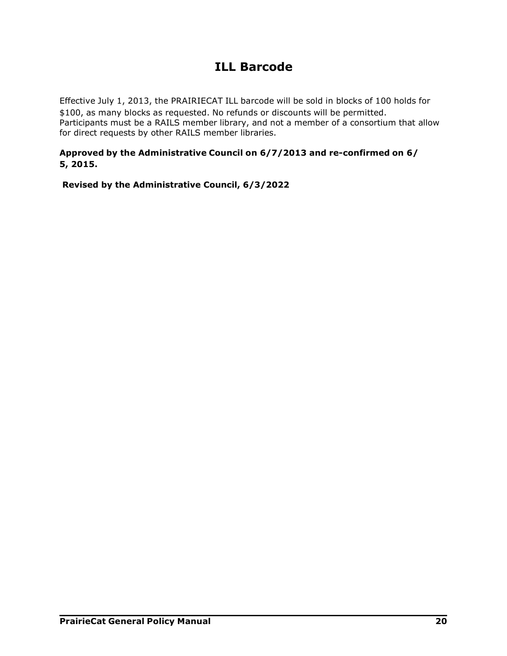## **ILL Barcode**

Effective July 1, 2013, the PRAIRIECAT ILL barcode will be sold in blocks of 100 holds for \$100, as many blocks as requested. No refunds or discounts will be permitted. Participants must be a RAILS member library, and not a member of a consortium that allow for direct requests by other RAILS member libraries.

#### **Approved by the Administrative Council on 6/7/2013 and re-confirmed on 6/ 5, 2015.**

**Revised by the Administrative Council, 6/3/2022**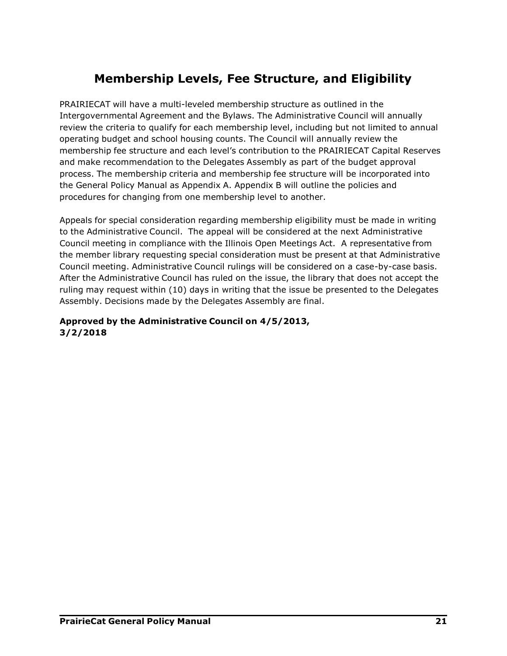# **Membership Levels, Fee Structure, and Eligibility**

PRAIRIECAT will have a multi-leveled membership structure as outlined in the Intergovernmental Agreement and the Bylaws. The Administrative Council will annually review the criteria to qualify for each membership level, including but not limited to annual operating budget and school housing counts. The Council will annually review the membership fee structure and each level's contribution to the PRAIRIECAT Capital Reserves and make recommendation to the Delegates Assembly as part of the budget approval process. The membership criteria and membership fee structure will be incorporated into the General Policy Manual as Appendix A. Appendix B will outline the policies and procedures for changing from one membership level to another.

Appeals for special consideration regarding membership eligibility must be made in writing to the Administrative Council. The appeal will be considered at the next Administrative Council meeting in compliance with the Illinois Open Meetings Act. A representative from the member library requesting special consideration must be present at that Administrative Council meeting. Administrative Council rulings will be considered on a case-by-case basis. After the Administrative Council has ruled on the issue, the library that does not accept the ruling may request within (10) days in writing that the issue be presented to the Delegates Assembly. Decisions made by the Delegates Assembly are final.

## **Approved by the Administrative Council on 4/5/2013, 3/2/2018**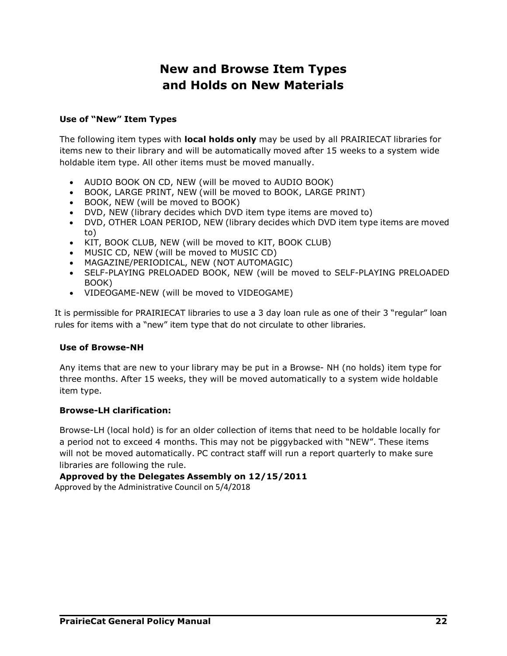## **New and Browse Item Types and Holds on New Materials**

#### **Use of "New" Item Types**

The following item types with **local holds only** may be used by all PRAIRIECAT libraries for items new to their library and will be automatically moved after 15 weeks to a system wide holdable item type. All other items must be moved manually.

- AUDIO BOOK ON CD, NEW (will be moved to AUDIO BOOK)
- BOOK, LARGE PRINT, NEW (will be moved to BOOK, LARGE PRINT)
- BOOK, NEW (will be moved to BOOK)
- DVD, NEW (library decides which DVD item type items are moved to)
- DVD, OTHER LOAN PERIOD, NEW (library decides which DVD item type items are moved to)
- KIT, BOOK CLUB, NEW (will be moved to KIT, BOOK CLUB)
- MUSIC CD, NEW (will be moved to MUSIC CD)
- MAGAZINE/PERIODICAL, NEW (NOT AUTOMAGIC)
- SELF-PLAYING PRELOADED BOOK, NEW (will be moved to SELF-PLAYING PRELOADED BOOK)
- VIDEOGAME-NEW (will be moved to VIDEOGAME)

It is permissible for PRAIRIECAT libraries to use a 3 day loan rule as one of their 3 "regular" loan rules for items with a "new" item type that do not circulate to other libraries.

#### **Use of Browse-NH**

Any items that are new to your library may be put in a Browse- NH (no holds) item type for three months. After 15 weeks, they will be moved automatically to a system wide holdable item type.

#### **Browse-LH clarification:**

Browse-LH (local hold) is for an older collection of items that need to be holdable locally for a period not to exceed 4 months. This may not be piggybacked with "NEW". These items will not be moved automatically. PC contract staff will run a report quarterly to make sure libraries are following the rule.

#### **Approved by the Delegates Assembly on 12/15/2011**

Approved by the Administrative Council on 5/4/2018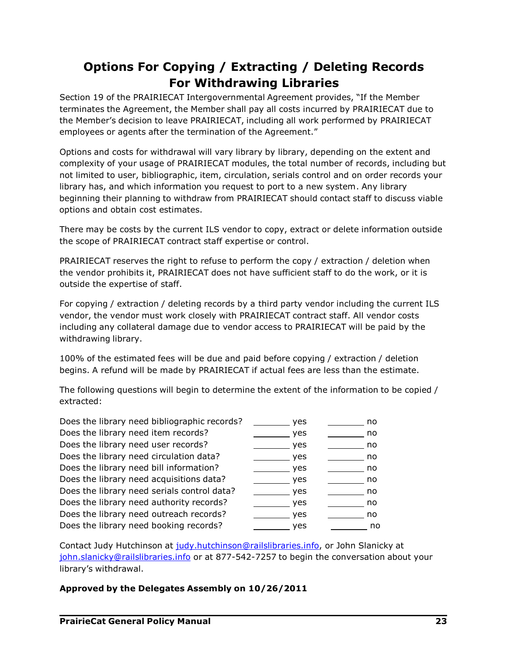## **Options For Copying / Extracting / Deleting Records For Withdrawing Libraries**

Section 19 of the PRAIRIECAT Intergovernmental Agreement provides, "If the Member terminates the Agreement, the Member shall pay all costs incurred by PRAIRIECAT due to the Member's decision to leave PRAIRIECAT, including all work performed by PRAIRIECAT employees or agents after the termination of the Agreement."

Options and costs for withdrawal will vary library by library, depending on the extent and complexity of your usage of PRAIRIECAT modules, the total number of records, including but not limited to user, bibliographic, item, circulation, serials control and on order records your library has, and which information you request to port to a new system. Any library beginning their planning to withdraw from PRAIRIECAT should contact staff to discuss viable options and obtain cost estimates.

There may be costs by the current ILS vendor to copy, extract or delete information outside the scope of PRAIRIECAT contract staff expertise or control.

PRAIRIECAT reserves the right to refuse to perform the copy / extraction / deletion when the vendor prohibits it, PRAIRIECAT does not have sufficient staff to do the work, or it is outside the expertise of staff.

For copying / extraction / deleting records by a third party vendor including the current ILS vendor, the vendor must work closely with PRAIRIECAT contract staff. All vendor costs including any collateral damage due to vendor access to PRAIRIECAT will be paid by the withdrawing library.

100% of the estimated fees will be due and paid before copying / extraction / deletion begins. A refund will be made by PRAIRIECAT if actual fees are less than the estimate.

The following questions will begin to determine the extent of the information to be copied / extracted:

| Does the library need bibliographic records? | yes | no |
|----------------------------------------------|-----|----|
| Does the library need item records?          | yes | no |
| Does the library need user records?          | yes | no |
| Does the library need circulation data?      | yes | no |
| Does the library need bill information?      | yes | no |
| Does the library need acquisitions data?     | yes | no |
| Does the library need serials control data?  | yes | no |
| Does the library need authority records?     | yes | no |
| Does the library need outreach records?      | yes | no |
| Does the library need booking records?       | yes | no |

Contact Judy Hutchinson at [judy.hutchinson@railslibraries.info,](mailto:judy.hutchinson@railslibraries.info) or John Slanicky at [john.slanicky@railslibraries.info](mailto:john.slanicky@railslibraries.info) or at 877-542-7257 to begin the conversation about your library's withdrawal.

**Approved by the Delegates Assembly on 10/26/2011**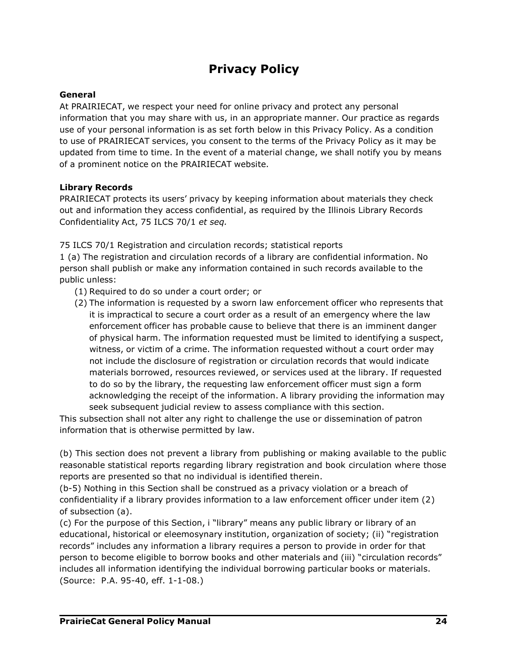# **Privacy Policy**

### **General**

At PRAIRIECAT, we respect your need for online privacy and protect any personal information that you may share with us, in an appropriate manner. Our practice as regards use of your personal information is as set forth below in this Privacy Policy. As a condition to use of PRAIRIECAT services, you consent to the terms of the Privacy Policy as it may be updated from time to time. In the event of a material change, we shall notify you by means of a prominent notice on the PRAIRIECAT website.

### **Library Records**

PRAIRIECAT protects its users' privacy by keeping information about materials they check out and information they access confidential, as required by the Illinois Library Records Confidentiality Act, 75 ILCS 70/1 *et seq.*

75 ILCS 70/1 Registration and circulation records; statistical reports

1 (a) The registration and circulation records of a library are confidential information. No person shall publish or make any information contained in such records available to the public unless:

- (1) Required to do so under a court order; or
- (2) The information is requested by a sworn law enforcement officer who represents that it is impractical to secure a court order as a result of an emergency where the law enforcement officer has probable cause to believe that there is an imminent danger of physical harm. The information requested must be limited to identifying a suspect, witness, or victim of a crime. The information requested without a court order may not include the disclosure of registration or circulation records that would indicate materials borrowed, resources reviewed, or services used at the library. If requested to do so by the library, the requesting law enforcement officer must sign a form acknowledging the receipt of the information. A library providing the information may seek subsequent judicial review to assess compliance with this section.

This subsection shall not alter any right to challenge the use or dissemination of patron information that is otherwise permitted by law.

(b) This section does not prevent a library from publishing or making available to the public reasonable statistical reports regarding library registration and book circulation where those reports are presented so that no individual is identified therein.

(b-5) Nothing in this Section shall be construed as a privacy violation or a breach of confidentiality if a library provides information to a law enforcement officer under item (2) of subsection (a).

(c) For the purpose of this Section, i "library" means any public library or library of an educational, historical or eleemosynary institution, organization of society; (ii) "registration records" includes any information a library requires a person to provide in order for that person to become eligible to borrow books and other materials and (iii) "circulation records" includes all information identifying the individual borrowing particular books or materials. (Source: P.A. 95-40, eff. 1-1-08.)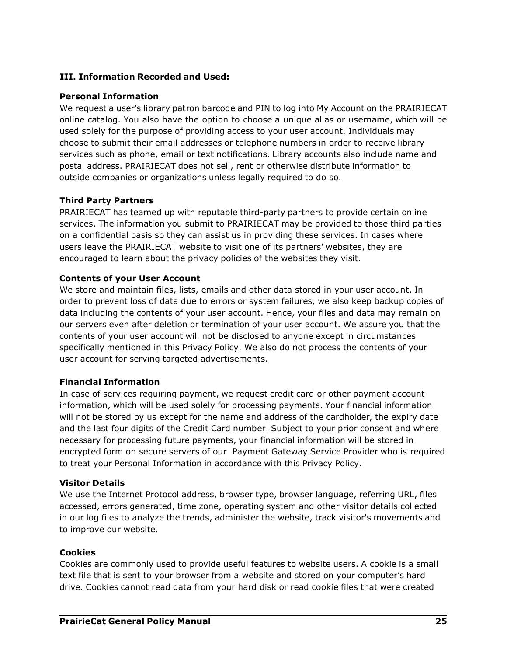#### **III. Information Recorded and Used:**

#### **Personal Information**

We request a user's library patron barcode and PIN to log into My Account on the PRAIRIECAT online catalog. You also have the option to choose a unique alias or username, which will be used solely for the purpose of providing access to your user account. Individuals may choose to submit their email addresses or telephone numbers in order to receive library services such as phone, email or text notifications. Library accounts also include name and postal address. PRAIRIECAT does not sell, rent or otherwise distribute information to outside companies or organizations unless legally required to do so.

#### **Third Party Partners**

PRAIRIECAT has teamed up with reputable third-party partners to provide certain online services. The information you submit to PRAIRIECAT may be provided to those third parties on a confidential basis so they can assist us in providing these services. In cases where users leave the PRAIRIECAT website to visit one of its partners' websites, they are encouraged to learn about the privacy policies of the websites they visit.

#### **Contents of your User Account**

We store and maintain files, lists, emails and other data stored in your user account. In order to prevent loss of data due to errors or system failures, we also keep backup copies of data including the contents of your user account. Hence, your files and data may remain on our servers even after deletion or termination of your user account. We assure you that the contents of your user account will not be disclosed to anyone except in circumstances specifically mentioned in this Privacy Policy. We also do not process the contents of your user account for serving targeted advertisements.

#### **Financial Information**

In case of services requiring payment, we request credit card or other payment account information, which will be used solely for processing payments. Your financial information will not be stored by us except for the name and address of the cardholder, the expiry date and the last four digits of the Credit Card number. Subject to your prior consent and where necessary for processing future payments, your financial information will be stored in encrypted form on secure servers of our Payment Gateway Service Provider who is required to treat your Personal Information in accordance with this Privacy Policy.

#### **Visitor Details**

We use the Internet Protocol address, browser type, browser language, referring URL, files accessed, errors generated, time zone, operating system and other visitor details collected in our log files to analyze the trends, administer the website, track visitor's movements and to improve our website.

#### **Cookies**

Cookies are commonly used to provide useful features to website users. A cookie is a small text file that is sent to your browser from a website and stored on your computer's hard drive. Cookies cannot read data from your hard disk or read cookie files that were created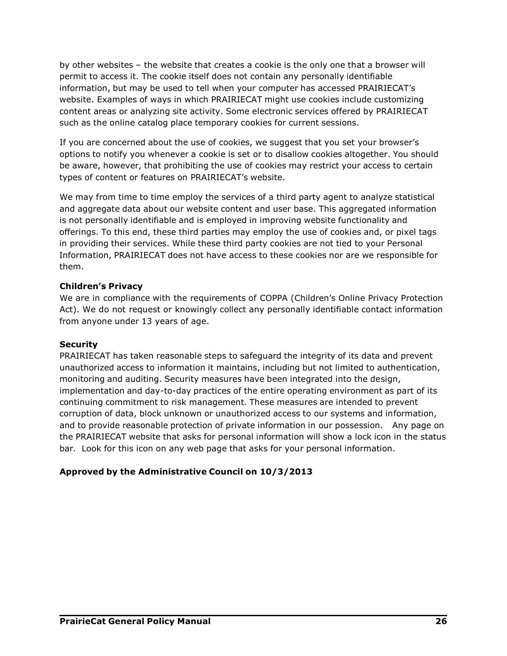by other websites – the website that creates a cookie is the only one that a browser will permit to access it. The cookie itself does not contain any personally identifiable information, but may be used to tell when your computer has accessed PRAIRIECAT's website. Examples of ways in which PRAIRIECAT might use cookies include customizing content areas or analyzing site activity. Some electronic services offered by PRAIRIECAT such as the online catalog place temporary cookies for current sessions.

If you are concerned about the use of cookies, we suggest that you set your browser's options to notify you whenever a cookie is set or to disallow cookies altogether. You should be aware, however, that prohibiting the use of cookies may restrict your access to certain types of content or features on PRAIRIECAT's website.

We may from time to time employ the services of a third party agent to analyze statistical and aggregate data about our website content and user base. This aggregated information is not personally identifiable and is employed in improving website functionality and offerings. To this end, these third parties may employ the use of cookies and, or pixel tags in providing their services. While these third party cookies are not tied to your Personal Information, PRAIRIECAT does not have access to these cookies nor are we responsible for them.

#### **Children's Privacy**

We are in compliance with the requirements of COPPA (Children's Online Privacy Protection Act). We do not request or knowingly collect any personally identifiable contact information from anyone under 13 years of age.

#### **Security**

PRAIRIECAT has taken reasonable steps to safeguard the integrity of its data and prevent unauthorized access to information it maintains, including but not limited to authentication, monitoring and auditing. Security measures have been integrated into the design, implementation and day-to-day practices of the entire operating environment as part of its continuing commitment to risk management. These measures are intended to prevent corruption of data, block unknown or unauthorized access to our systems and information, and to provide reasonable protection of private information in our possession. Any page on the PRAIRIECAT website that asks for personal information will show a lock icon in the status bar. Look for this icon on any web page that asks for your personal information.

#### **Approved by the Administrative Council on 10/3/2013**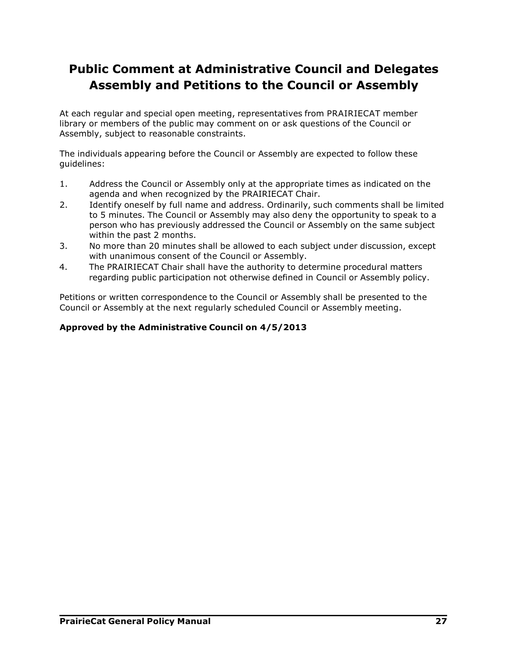# **Public Comment at Administrative Council and Delegates Assembly and Petitions to the Council or Assembly**

At each regular and special open meeting, representatives from PRAIRIECAT member library or members of the public may comment on or ask questions of the Council or Assembly, subject to reasonable constraints.

The individuals appearing before the Council or Assembly are expected to follow these guidelines:

- 1. Address the Council or Assembly only at the appropriate times as indicated on the agenda and when recognized by the PRAIRIECAT Chair.
- 2. Identify oneself by full name and address. Ordinarily, such comments shall be limited to 5 minutes. The Council or Assembly may also deny the opportunity to speak to a person who has previously addressed the Council or Assembly on the same subject within the past 2 months.
- 3. No more than 20 minutes shall be allowed to each subject under discussion, except with unanimous consent of the Council or Assembly.
- 4. The PRAIRIECAT Chair shall have the authority to determine procedural matters regarding public participation not otherwise defined in Council or Assembly policy.

Petitions or written correspondence to the Council or Assembly shall be presented to the Council or Assembly at the next regularly scheduled Council or Assembly meeting.

## **Approved by the Administrative Council on 4/5/2013**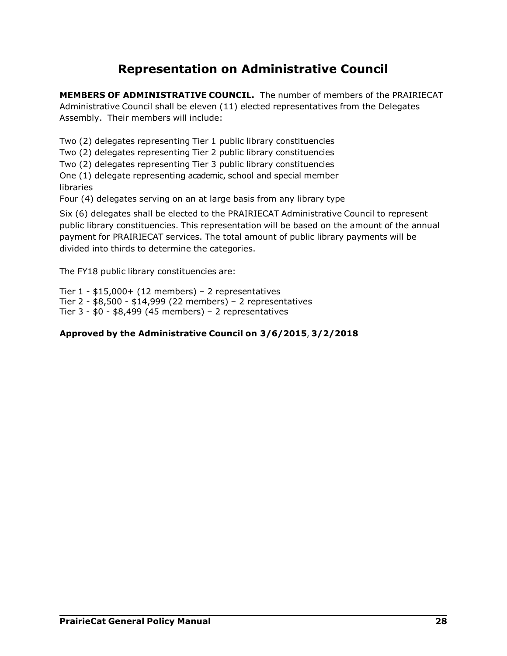## **Representation on Administrative Council**

**MEMBERS OF ADMINISTRATIVE COUNCIL.** The number of members of the PRAIRIECAT Administrative Council shall be eleven (11) elected representatives from the Delegates Assembly. Their members will include:

Two (2) delegates representing Tier 1 public library constituencies

Two (2) delegates representing Tier 2 public library constituencies

Two (2) delegates representing Tier 3 public library constituencies

One (1) delegate representing academic, school and special member libraries

Four (4) delegates serving on an at large basis from any library type

Six (6) delegates shall be elected to the PRAIRIECAT Administrative Council to represent public library constituencies. This representation will be based on the amount of the annual payment for PRAIRIECAT services. The total amount of public library payments will be divided into thirds to determine the categories.

The FY18 public library constituencies are:

Tier  $1 - $15,000 + (12$  members) – 2 representatives Tier 2 - \$8,500 - \$14,999 (22 members) – 2 representatives Tier  $3 - $0 - $8,499$  (45 members) – 2 representatives

## **Approved by the Administrative Council on 3/6/2015**, **3/2/2018**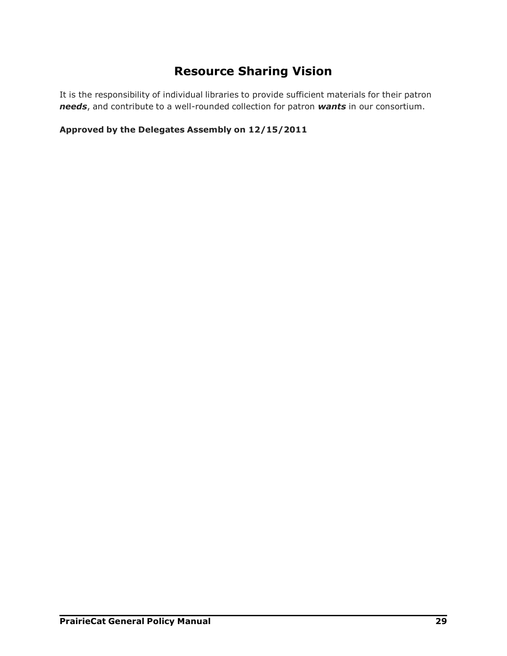## **Resource Sharing Vision**

It is the responsibility of individual libraries to provide sufficient materials for their patron *needs*, and contribute to a well-rounded collection for patron *wants* in our consortium.

## **Approved by the Delegates Assembly on 12/15/2011**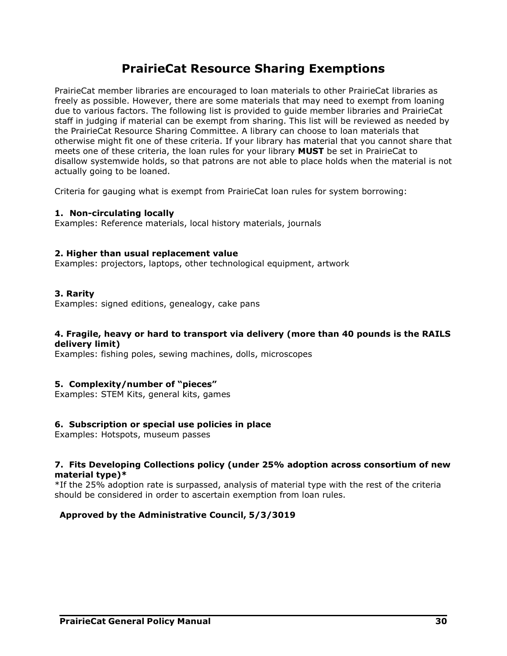## **PrairieCat Resource Sharing Exemptions**

PrairieCat member libraries are encouraged to loan materials to other PrairieCat libraries as freely as possible. However, there are some materials that may need to exempt from loaning due to various factors. The following list is provided to guide member libraries and PrairieCat staff in judging if material can be exempt from sharing. This list will be reviewed as needed by the PrairieCat Resource Sharing Committee. A library can choose to loan materials that otherwise might fit one of these criteria. If your library has material that you cannot share that meets one of these criteria, the loan rules for your library **MUST** be set in PrairieCat to disallow systemwide holds, so that patrons are not able to place holds when the material is not actually going to be loaned.

Criteria for gauging what is exempt from PrairieCat loan rules for system borrowing:

#### **1. Non-circulating locally**

Examples: Reference materials, local history materials, journals

#### **2. Higher than usual replacement value**

Examples: projectors, laptops, other technological equipment, artwork

#### **3. Rarity**

Examples: signed editions, genealogy, cake pans

#### **4. Fragile, heavy or hard to transport via delivery (more than 40 pounds is the RAILS delivery limit)**

Examples: fishing poles, sewing machines, dolls, microscopes

#### **5. Complexity/number of "pieces"**

Examples: STEM Kits, general kits, games

#### **6. Subscription or special use policies in place**

Examples: Hotspots, museum passes

#### **7. Fits Developing Collections policy (under 25% adoption across consortium of new material type)\***

\*If the 25% adoption rate is surpassed, analysis of material type with the rest of the criteria should be considered in order to ascertain exemption from loan rules.

#### **Approved by the Administrative Council, 5/3/3019**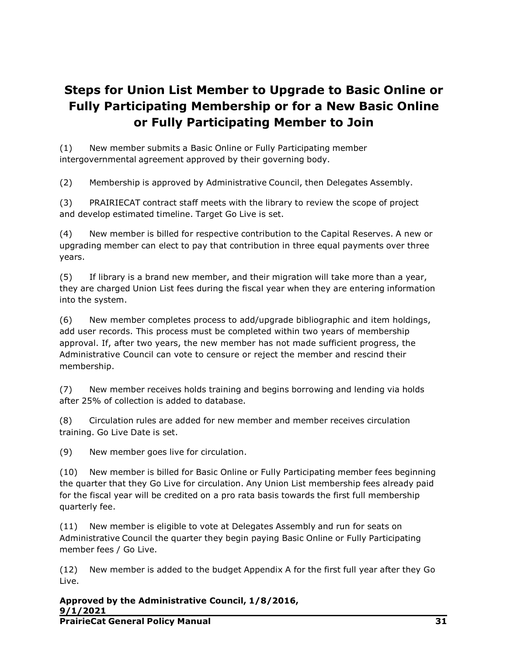# **Steps for Union List Member to Upgrade to Basic Online or Fully Participating Membership or for a New Basic Online or Fully Participating Member to Join**

(1) New member submits a Basic Online or Fully Participating member intergovernmental agreement approved by their governing body.

(2) Membership is approved by Administrative Council, then Delegates Assembly.

(3) PRAIRIECAT contract staff meets with the library to review the scope of project and develop estimated timeline. Target Go Live is set.

(4) New member is billed for respective contribution to the Capital Reserves. A new or upgrading member can elect to pay that contribution in three equal payments over three years.

(5) If library is a brand new member, and their migration will take more than a year, they are charged Union List fees during the fiscal year when they are entering information into the system.

(6) New member completes process to add/upgrade bibliographic and item holdings, add user records. This process must be completed within two years of membership approval. If, after two years, the new member has not made sufficient progress, the Administrative Council can vote to censure or reject the member and rescind their membership.

(7) New member receives holds training and begins borrowing and lending via holds after 25% of collection is added to database.

(8) Circulation rules are added for new member and member receives circulation training. Go Live Date is set.

(9) New member goes live for circulation.

(10) New member is billed for Basic Online or Fully Participating member fees beginning the quarter that they Go Live for circulation. Any Union List membership fees already paid for the fiscal year will be credited on a pro rata basis towards the first full membership quarterly fee.

(11) New member is eligible to vote at Delegates Assembly and run for seats on Administrative Council the quarter they begin paying Basic Online or Fully Participating member fees / Go Live.

(12) New member is added to the budget Appendix A for the first full year after they Go Live.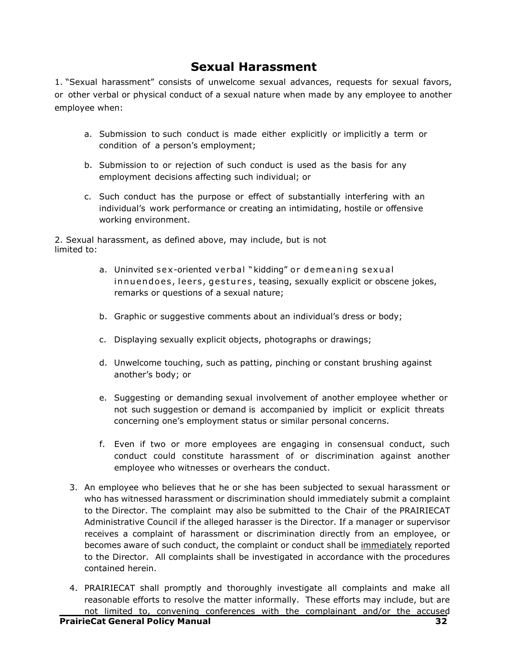## **Sexual Harassment**

1. "Sexual harassment" consists of unwelcome sexual advances, requests for sexual favors, or other verbal or physical conduct of a sexual nature when made by any employee to another employee when:

- a. Submission to such conduct is made either explicitly or implicitly a term or condition of a person's employment;
- b. Submission to or rejection of such conduct is used as the basis for any employment decisions affecting such individual; or
- c. Such conduct has the purpose or effect of substantially interfering with an individual's work performance or creating an intimidating, hostile or offensive working environment.

2. Sexual harassment, as defined above, may include, but is not limited to:

- a. Uninvited sex-oriented verbal "kidding" or demeaning sexual innuendoes, leers, gestures, teasing, sexually explicit or obscene jokes, remarks or questions of a sexual nature;
- b. Graphic or suggestive comments about an individual's dress or body;
- c. Displaying sexually explicit objects, photographs or drawings;
- d. Unwelcome touching, such as patting, pinching or constant brushing against another's body; or
- e. Suggesting or demanding sexual involvement of another employee whether or not such suggestion or demand is accompanied by implicit or explicit threats concerning one's employment status or similar personal concerns.
- f. Even if two or more employees are engaging in consensual conduct, such conduct could constitute harassment of or discrimination against another employee who witnesses or overhears the conduct.
- 3. An employee who believes that he or she has been subjected to sexual harassment or who has witnessed harassment or discrimination should immediately submit a complaint to the Director. The complaint may also be submitted to the Chair of the PRAIRIECAT Administrative Council if the alleged harasser is the Director. If a manager or supervisor receives a complaint of harassment or discrimination directly from an employee, or becomes aware of such conduct, the complaint or conduct shall be immediately reported to the Director. All complaints shall be investigated in accordance with the procedures contained herein.
- 4. PRAIRIECAT shall promptly and thoroughly investigate all complaints and make all reasonable efforts to resolve the matter informally. These efforts may include, but are not limited to, convening conferences with the complainant and/or the accused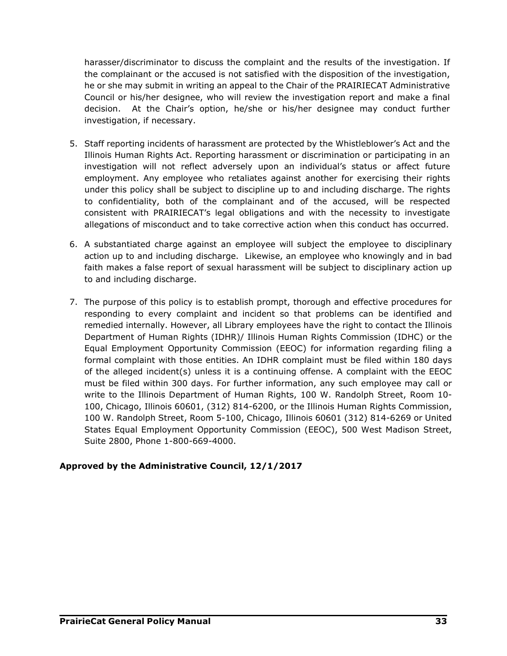harasser/discriminator to discuss the complaint and the results of the investigation. If the complainant or the accused is not satisfied with the disposition of the investigation, he or she may submit in writing an appeal to the Chair of the PRAIRIECAT Administrative Council or his/her designee, who will review the investigation report and make a final decision. At the Chair's option, he/she or his/her designee may conduct further investigation, if necessary.

- 5. Staff reporting incidents of harassment are protected by the Whistleblower's Act and the Illinois Human Rights Act. Reporting harassment or discrimination or participating in an investigation will not reflect adversely upon an individual's status or affect future employment. Any employee who retaliates against another for exercising their rights under this policy shall be subject to discipline up to and including discharge. The rights to confidentiality, both of the complainant and of the accused, will be respected consistent with PRAIRIECAT's legal obligations and with the necessity to investigate allegations of misconduct and to take corrective action when this conduct has occurred.
- 6. A substantiated charge against an employee will subject the employee to disciplinary action up to and including discharge. Likewise, an employee who knowingly and in bad faith makes a false report of sexual harassment will be subject to disciplinary action up to and including discharge.
- 7. The purpose of this policy is to establish prompt, thorough and effective procedures for responding to every complaint and incident so that problems can be identified and remedied internally. However, all Library employees have the right to contact the Illinois Department of Human Rights (IDHR)/ Illinois Human Rights Commission (IDHC) or the Equal Employment Opportunity Commission (EEOC) for information regarding filing a formal complaint with those entities. An IDHR complaint must be filed within 180 days of the alleged incident(s) unless it is a continuing offense. A complaint with the EEOC must be filed within 300 days. For further information, any such employee may call or write to the Illinois Department of Human Rights, 100 W. Randolph Street, Room 10- 100, Chicago, Illinois 60601, (312) 814-6200, or the Illinois Human Rights Commission, 100 W. Randolph Street, Room 5-100, Chicago, Illinois 60601 (312) 814-6269 or United States Equal Employment Opportunity Commission (EEOC), 500 West Madison Street, Suite 2800, Phone 1-800-669-4000.

#### **Approved by the Administrative Council, 12/1/2017**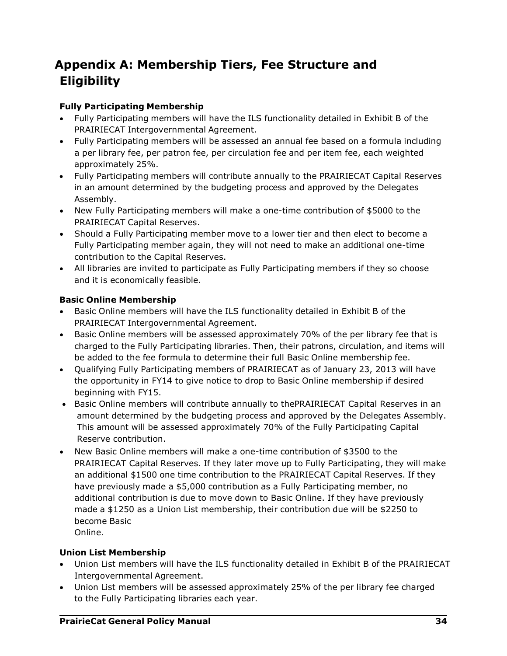# **Appendix A: Membership Tiers, Fee Structure and Eligibility**

## **Fully Participating Membership**

- Fully Participating members will have the ILS functionality detailed in Exhibit B of the PRAIRIECAT Intergovernmental Agreement.
- Fully Participating members will be assessed an annual fee based on a formula including a per library fee, per patron fee, per circulation fee and per item fee, each weighted approximately 25%.
- Fully Participating members will contribute annually to the PRAIRIECAT Capital Reserves in an amount determined by the budgeting process and approved by the Delegates Assembly.
- New Fully Participating members will make a one-time contribution of \$5000 to the PRAIRIECAT Capital Reserves.
- Should a Fully Participating member move to a lower tier and then elect to become a Fully Participating member again, they will not need to make an additional one-time contribution to the Capital Reserves.
- All libraries are invited to participate as Fully Participating members if they so choose and it is economically feasible.

## **Basic Online Membership**

- Basic Online members will have the ILS functionality detailed in Exhibit B of the PRAIRIECAT Intergovernmental Agreement.
- Basic Online members will be assessed approximately 70% of the per library fee that is charged to the Fully Participating libraries. Then, their patrons, circulation, and items will be added to the fee formula to determine their full Basic Online membership fee.
- Qualifying Fully Participating members of PRAIRIECAT as of January 23, 2013 will have the opportunity in FY14 to give notice to drop to Basic Online membership if desired beginning with FY15.
- Basic Online members will contribute annually to thePRAIRIECAT Capital Reserves in an amount determined by the budgeting process and approved by the Delegates Assembly. This amount will be assessed approximately 70% of the Fully Participating Capital Reserve contribution.
- New Basic Online members will make a one-time contribution of \$3500 to the PRAIRIECAT Capital Reserves. If they later move up to Fully Participating, they will make an additional \$1500 one time contribution to the PRAIRIECAT Capital Reserves. If they have previously made a \$5,000 contribution as a Fully Participating member, no additional contribution is due to move down to Basic Online. If they have previously made a \$1250 as a Union List membership, their contribution due will be \$2250 to become Basic Online.

## **Union List Membership**

- Union List members will have the ILS functionality detailed in Exhibit B of the PRAIRIECAT Intergovernmental Agreement.
- Union List members will be assessed approximately 25% of the per library fee charged to the Fully Participating libraries each year.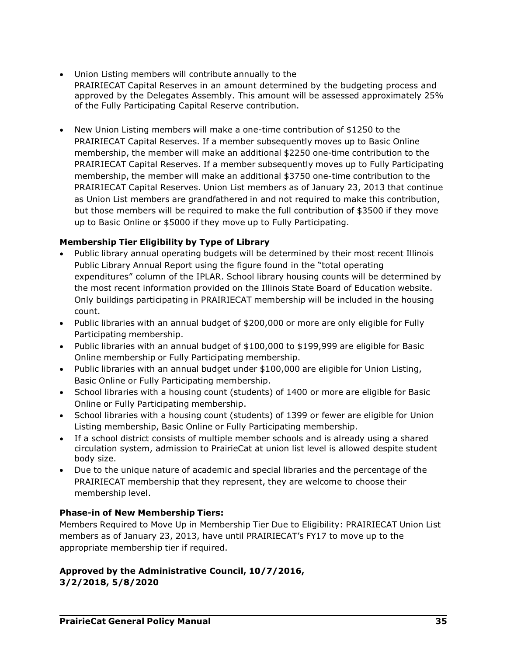- Union Listing members will contribute annually to the PRAIRIECAT Capital Reserves in an amount determined by the budgeting process and approved by the Delegates Assembly. This amount will be assessed approximately 25% of the Fully Participating Capital Reserve contribution.
- New Union Listing members will make a one-time contribution of \$1250 to the PRAIRIECAT Capital Reserves. If a member subsequently moves up to Basic Online membership, the member will make an additional \$2250 one-time contribution to the PRAIRIECAT Capital Reserves. If a member subsequently moves up to Fully Participating membership, the member will make an additional \$3750 one-time contribution to the PRAIRIECAT Capital Reserves. Union List members as of January 23, 2013 that continue as Union List members are grandfathered in and not required to make this contribution, but those members will be required to make the full contribution of \$3500 if they move up to Basic Online or \$5000 if they move up to Fully Participating.

#### **Membership Tier Eligibility by Type of Library**

- Public library annual operating budgets will be determined by their most recent Illinois Public Library Annual Report using the figure found in the "total operating expenditures" column of the IPLAR. School library housing counts will be determined by the most recent information provided on the Illinois State Board of Education website. Only buildings participating in PRAIRIECAT membership will be included in the housing count.
- Public libraries with an annual budget of \$200,000 or more are only eligible for Fully Participating membership.
- Public libraries with an annual budget of \$100,000 to \$199,999 are eligible for Basic Online membership or Fully Participating membership.
- Public libraries with an annual budget under \$100,000 are eligible for Union Listing, Basic Online or Fully Participating membership.
- School libraries with a housing count (students) of 1400 or more are eligible for Basic Online or Fully Participating membership.
- School libraries with a housing count (students) of 1399 or fewer are eligible for Union Listing membership, Basic Online or Fully Participating membership.
- If a school district consists of multiple member schools and is already using a shared circulation system, admission to PrairieCat at union list level is allowed despite student body size.
- Due to the unique nature of academic and special libraries and the percentage of the PRAIRIECAT membership that they represent, they are welcome to choose their membership level.

#### **Phase-in of New Membership Tiers:**

Members Required to Move Up in Membership Tier Due to Eligibility: PRAIRIECAT Union List members as of January 23, 2013, have until PRAIRIECAT's FY17 to move up to the appropriate membership tier if required.

#### **Approved by the Administrative Council, 10/7/2016, 3/2/2018, 5/8/2020**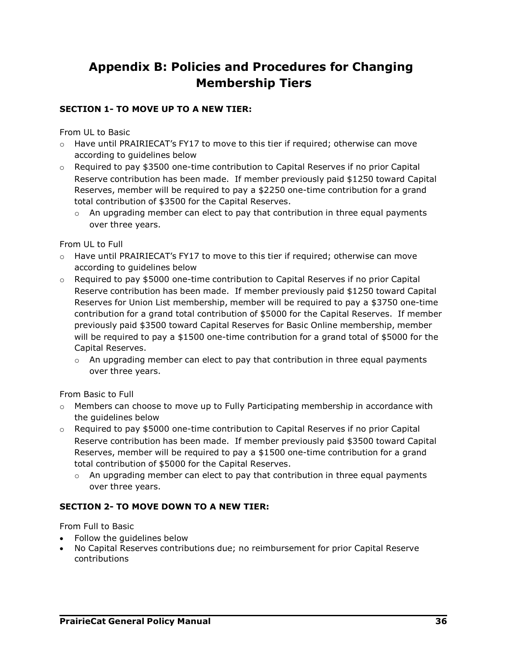## **Appendix B: Policies and Procedures for Changing Membership Tiers**

## **SECTION 1- TO MOVE UP TO A NEW TIER:**

From UL to Basic

- $\circ$  Have until PRAIRIECAT's FY17 to move to this tier if required; otherwise can move according to guidelines below
- $\circ$  Required to pay \$3500 one-time contribution to Capital Reserves if no prior Capital Reserve contribution has been made. If member previously paid \$1250 toward Capital Reserves, member will be required to pay a \$2250 one-time contribution for a grand total contribution of \$3500 for the Capital Reserves.
	- $\circ$  An upgrading member can elect to pay that contribution in three equal payments over three years.

From UL to Full

- $\circ$  Have until PRAIRIECAT's FY17 to move to this tier if required; otherwise can move according to guidelines below
- $\circ$  Required to pay \$5000 one-time contribution to Capital Reserves if no prior Capital Reserve contribution has been made. If member previously paid \$1250 toward Capital Reserves for Union List membership, member will be required to pay a \$3750 one-time contribution for a grand total contribution of \$5000 for the Capital Reserves. If member previously paid \$3500 toward Capital Reserves for Basic Online membership, member will be required to pay a \$1500 one-time contribution for a grand total of \$5000 for the Capital Reserves.
	- o An upgrading member can elect to pay that contribution in three equal payments over three years.

From Basic to Full

- $\circ$  Members can choose to move up to Fully Participating membership in accordance with the guidelines below
- $\circ$  Required to pay \$5000 one-time contribution to Capital Reserves if no prior Capital Reserve contribution has been made. If member previously paid \$3500 toward Capital Reserves, member will be required to pay a \$1500 one-time contribution for a grand total contribution of \$5000 for the Capital Reserves.
	- $\circ$  An upgrading member can elect to pay that contribution in three equal payments over three years.

## **SECTION 2- TO MOVE DOWN TO A NEW TIER:**

From Full to Basic

- Follow the guidelines below
- No Capital Reserves contributions due; no reimbursement for prior Capital Reserve contributions